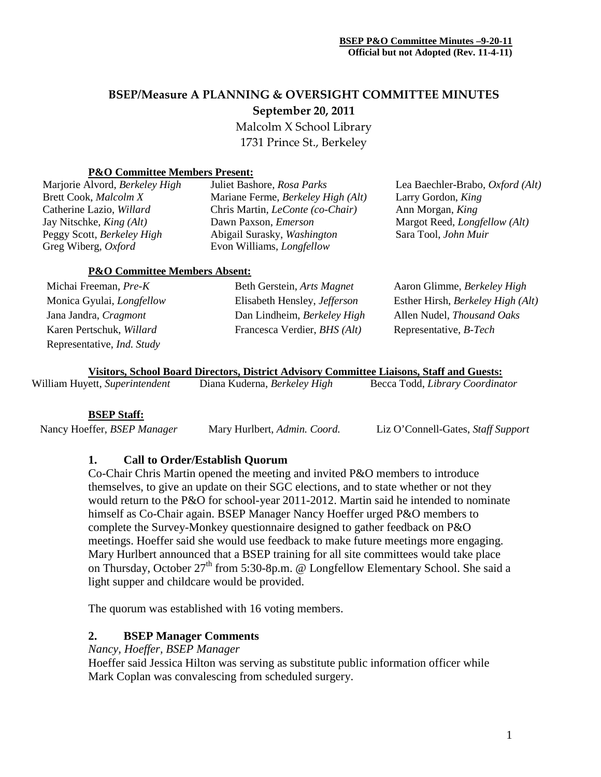# **BSEP/Measure A PLANNING & OVERSIGHT COMMITTEE MINUTES September 20, 2011**

Malcolm X School Library 1731 Prince St., Berkeley

#### **P&O Committee Members Present:**

| Marjorie Alvord, Berkeley High  | Juliet Bashore, Rosa Parks              | Lea Baechler-Brabo, Oxford (Alt)     |
|---------------------------------|-----------------------------------------|--------------------------------------|
| Brett Cook, Malcolm X           | Mariane Ferme, Berkeley High (Alt)      | Larry Gordon, King                   |
| Catherine Lazio, Willard        | Chris Martin, <i>LeConte</i> (co-Chair) | Ann Morgan, King                     |
| Jay Nitschke, <i>King (Alt)</i> | Dawn Paxson, <i>Emerson</i>             | Margot Reed, <i>Longfellow</i> (Alt) |
| Peggy Scott, Berkeley High      | Abigail Surasky, Washington             | Sara Tool, John Muir                 |
| Greg Wiberg, Oxford             | Evon Williams, <i>Longfellow</i>        |                                      |
|                                 |                                         |                                      |

#### **P&O Committee Members Absent:**

| Michai Freeman, Pre-K             | Beth Gerstein, Arts Magnet                   | Aaron Glimme, Berkeley High       |
|-----------------------------------|----------------------------------------------|-----------------------------------|
| Monica Gyulai, <i>Longfellow</i>  | Elisabeth Hensley, <i>Jefferson</i>          | Esther Hirsh, Berkeley High (Alt) |
| Jana Jandra, Cragmont             | Dan Lindheim, Berkeley High                  | Allen Nudel, Thousand Oaks        |
| Karen Pertschuk, Willard          | Francesca Verdier, <i>BHS</i> ( <i>Alt</i> ) | Representative, <i>B-Tech</i>     |
| Representative, <i>Ind. Study</i> |                                              |                                   |

**Visitors, School Board Directors, District Advisory Committee Liaisons, Staff and Guests:** Becca Todd, *Library Coordinator* 

#### **BSEP Staff:**

Nancy Hoeffer, *BSEP Manager* Mary Hurlbert, *Admin. Coord.* Liz O'Connell-Gates, *Staff Support*

# **1. Call to Order/Establish Quorum**

Co-Chair Chris Martin opened the meeting and invited P&O members to introduce themselves, to give an update on their SGC elections, and to state whether or not they would return to the P&O for school-year 2011-2012. Martin said he intended to nominate himself as Co-Chair again. BSEP Manager Nancy Hoeffer urged P&O members to complete the Survey-Monkey questionnaire designed to gather feedback on P&O meetings. Hoeffer said she would use feedback to make future meetings more engaging. Mary Hurlbert announced that a BSEP training for all site committees would take place on Thursday, October  $27<sup>th</sup>$  from 5:30-8p.m. @ Longfellow Elementary School. She said a light supper and childcare would be provided.

The quorum was established with 16 voting members.

# **2. BSEP Manager Comments**

*Nancy, Hoeffer, BSEP Manager*

Hoeffer said Jessica Hilton was serving as substitute public information officer while Mark Coplan was convalescing from scheduled surgery.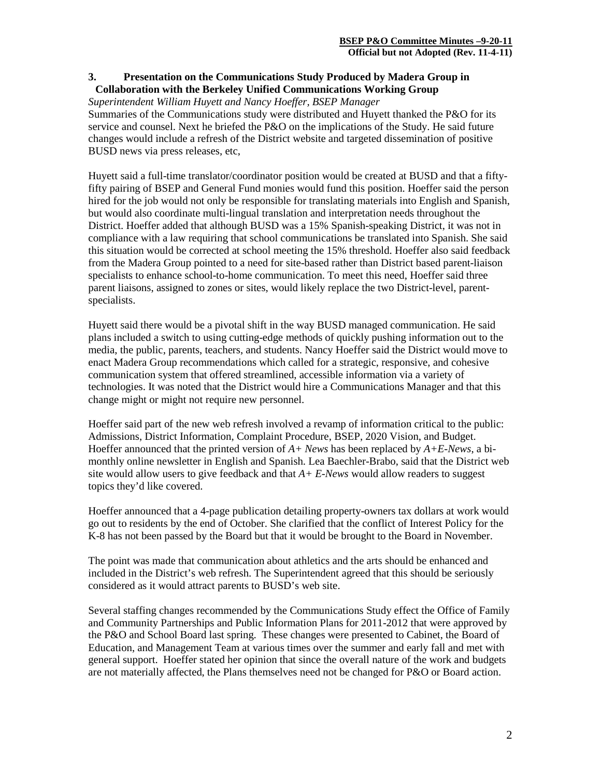### **3. Presentation on the Communications Study Produced by Madera Group in Collaboration with the Berkeley Unified Communications Working Group**

#### *Superintendent William Huyett and Nancy Hoeffer, BSEP Manager*

Summaries of the Communications study were distributed and Huyett thanked the P&O for its service and counsel. Next he briefed the P&O on the implications of the Study. He said future changes would include a refresh of the District website and targeted dissemination of positive BUSD news via press releases, etc,

Huyett said a full-time translator/coordinator position would be created at BUSD and that a fiftyfifty pairing of BSEP and General Fund monies would fund this position. Hoeffer said the person hired for the job would not only be responsible for translating materials into English and Spanish, but would also coordinate multi-lingual translation and interpretation needs throughout the District. Hoeffer added that although BUSD was a 15% Spanish-speaking District, it was not in compliance with a law requiring that school communications be translated into Spanish. She said this situation would be corrected at school meeting the 15% threshold. Hoeffer also said feedback from the Madera Group pointed to a need for site-based rather than District based parent-liaison specialists to enhance school-to-home communication. To meet this need, Hoeffer said three parent liaisons, assigned to zones or sites, would likely replace the two District-level, parentspecialists.

Huyett said there would be a pivotal shift in the way BUSD managed communication. He said plans included a switch to using cutting-edge methods of quickly pushing information out to the media, the public, parents, teachers, and students. Nancy Hoeffer said the District would move to enact Madera Group recommendations which called for a strategic, responsive, and cohesive communication system that offered streamlined, accessible information via a variety of technologies. It was noted that the District would hire a Communications Manager and that this change might or might not require new personnel.

Hoeffer said part of the new web refresh involved a revamp of information critical to the public: Admissions, District Information, Complaint Procedure, BSEP, 2020 Vision, and Budget. Hoeffer announced that the printed version of *A+ News* has been replaced by *A+E-News*, a bimonthly online newsletter in English and Spanish. Lea Baechler-Brabo, said that the District web site would allow users to give feedback and that *A+ E-News* would allow readers to suggest topics they'd like covered.

Hoeffer announced that a 4-page publication detailing property-owners tax dollars at work would go out to residents by the end of October. She clarified that the conflict of Interest Policy for the K-8 has not been passed by the Board but that it would be brought to the Board in November.

The point was made that communication about athletics and the arts should be enhanced and included in the District's web refresh. The Superintendent agreed that this should be seriously considered as it would attract parents to BUSD's web site.

Several staffing changes recommended by the Communications Study effect the Office of Family and Community Partnerships and Public Information Plans for 2011-2012 that were approved by the P&O and School Board last spring. These changes were presented to Cabinet, the Board of Education, and Management Team at various times over the summer and early fall and met with general support. Hoeffer stated her opinion that since the overall nature of the work and budgets are not materially affected, the Plans themselves need not be changed for P&O or Board action.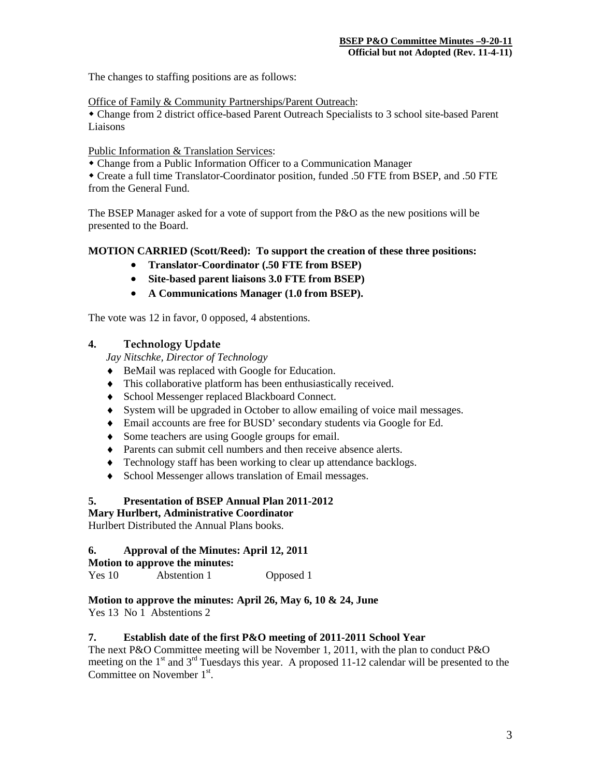The changes to staffing positions are as follows:

Office of Family & Community Partnerships/Parent Outreach:

 Change from 2 district office-based Parent Outreach Specialists to 3 school site-based Parent Liaisons

#### Public Information & Translation Services:

Change from a Public Information Officer to a Communication Manager

 Create a full time Translator-Coordinator position, funded .50 FTE from BSEP, and .50 FTE from the General Fund.

The BSEP Manager asked for a vote of support from the P&O as the new positions will be presented to the Board.

#### **MOTION CARRIED (Scott/Reed): To support the creation of these three positions:**

- **Translator-Coordinator (.50 FTE from BSEP)**
- **Site-based parent liaisons 3.0 FTE from BSEP)**
- **A Communications Manager (1.0 from BSEP).**

The vote was 12 in favor, 0 opposed, 4 abstentions.

#### **4. Technology Update**

*Jay Nitschke, Director of Technology*

- ♦ BeMail was replaced with Google for Education.
- ♦ This collaborative platform has been enthusiastically received.
- ♦ School Messenger replaced Blackboard Connect.
- ♦ System will be upgraded in October to allow emailing of voice mail messages.
- ♦ Email accounts are free for BUSD' secondary students via Google for Ed.
- ♦ Some teachers are using Google groups for email.
- ♦ Parents can submit cell numbers and then receive absence alerts.
- ♦ Technology staff has been working to clear up attendance backlogs.
- ♦ School Messenger allows translation of Email messages.

# **5. Presentation of BSEP Annual Plan 2011-2012**

#### **Mary Hurlbert, Administrative Coordinator**

Hurlbert Distributed the Annual Plans books.

#### **6. Approval of the Minutes: April 12, 2011**

# **Motion to approve the minutes:**

Yes 10 Abstention 1 Opposed 1

# **Motion to approve the minutes: April 26, May 6, 10 & 24, June**

Yes 13 No 1 Abstentions 2

#### **7. Establish date of the first P&O meeting of 2011-2011 School Year**

The next P&O Committee meeting will be November 1, 2011, with the plan to conduct P&O meeting on the  $1<sup>st</sup>$  and  $3<sup>rd</sup>$  Tuesdays this year. A proposed 11-12 calendar will be presented to the Committee on November 1<sup>st</sup>.